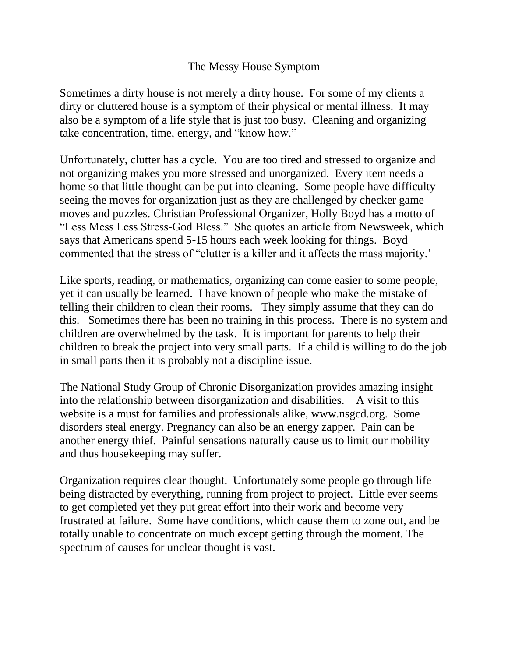## The Messy House Symptom

Sometimes a dirty house is not merely a dirty house. For some of my clients a dirty or cluttered house is a symptom of their physical or mental illness. It may also be a symptom of a life style that is just too busy. Cleaning and organizing take concentration, time, energy, and "know how."

Unfortunately, clutter has a cycle. You are too tired and stressed to organize and not organizing makes you more stressed and unorganized. Every item needs a home so that little thought can be put into cleaning. Some people have difficulty seeing the moves for organization just as they are challenged by checker game moves and puzzles. Christian Professional Organizer, Holly Boyd has a motto of "Less Mess Less Stress-God Bless." She quotes an article from Newsweek, which says that Americans spend 5-15 hours each week looking for things. Boyd commented that the stress of "clutter is a killer and it affects the mass majority.'

Like sports, reading, or mathematics, organizing can come easier to some people, yet it can usually be learned. I have known of people who make the mistake of telling their children to clean their rooms. They simply assume that they can do this. Sometimes there has been no training in this process. There is no system and children are overwhelmed by the task. It is important for parents to help their children to break the project into very small parts. If a child is willing to do the job in small parts then it is probably not a discipline issue.

The National Study Group of Chronic Disorganization provides amazing insight into the relationship between disorganization and disabilities. A visit to this website is a must for families and professionals alike, www.nsgcd.org. Some disorders steal energy. Pregnancy can also be an energy zapper. Pain can be another energy thief. Painful sensations naturally cause us to limit our mobility and thus housekeeping may suffer.

Organization requires clear thought. Unfortunately some people go through life being distracted by everything, running from project to project. Little ever seems to get completed yet they put great effort into their work and become very frustrated at failure. Some have conditions, which cause them to zone out, and be totally unable to concentrate on much except getting through the moment. The spectrum of causes for unclear thought is vast.